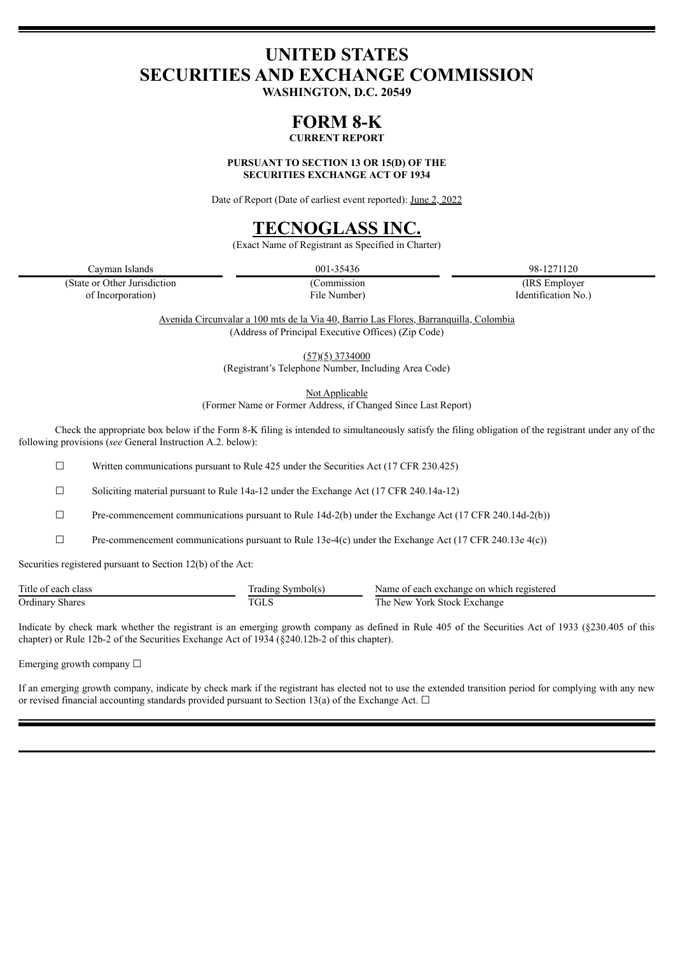# **UNITED STATES SECURITIES AND EXCHANGE COMMISSION**

**WASHINGTON, D.C. 20549**

# **FORM 8-K**

**CURRENT REPORT**

**PURSUANT TO SECTION 13 OR 15(D) OF THE SECURITIES EXCHANGE ACT OF 1934**

Date of Report (Date of earliest event reported): June 2, 2022

# **TECNOGLASS INC.**

(Exact Name of Registrant as Specified in Charter)

Cayman Islands 001-35436 98-1271120

(State or Other Jurisdiction (Commission (IRS Employer of Incorporation) File Number) Identification No.)

Avenida Circunvalar a 100 mts de la Via 40, Barrio Las Flores, Barranquilla, Colombia (Address of Principal Executive Offices) (Zip Code)

> (57)(5) 3734000 (Registrant's Telephone Number, Including Area Code)

> > Not Applicable

(Former Name or Former Address, if Changed Since Last Report)

Check the appropriate box below if the Form 8-K filing is intended to simultaneously satisfy the filing obligation of the registrant under any of the following provisions (*see* General Instruction A.2. below):

 $\Box$  Written communications pursuant to Rule 425 under the Securities Act (17 CFR 230.425)

☐ Soliciting material pursuant to Rule 14a-12 under the Exchange Act (17 CFR 240.14a-12)

 $\Box$  Pre-commencement communications pursuant to Rule 14d-2(b) under the Exchange Act (17 CFR 240.14d-2(b))

 $\Box$  Pre-commencement communications pursuant to Rule 13e-4(c) under the Exchange Act (17 CFR 240.13e 4(c))

Securities registered pursuant to Section 12(b) of the Act:

| Title of .<br>class<br>each | adıng '<br>ivmbolts       | Name of<br>which registered<br>each exchange on |
|-----------------------------|---------------------------|-------------------------------------------------|
| Ordinary<br>Shares          | $\pi$ $\alpha$ r $\alpha$ | <b>The</b><br>York Stock<br>. Exchange<br>New   |

Indicate by check mark whether the registrant is an emerging growth company as defined in Rule 405 of the Securities Act of 1933 (§230.405 of this chapter) or Rule 12b-2 of the Securities Exchange Act of 1934 (§240.12b-2 of this chapter).

Emerging growth company  $\Box$ 

If an emerging growth company, indicate by check mark if the registrant has elected not to use the extended transition period for complying with any new or revised financial accounting standards provided pursuant to Section 13(a) of the Exchange Act.  $\Box$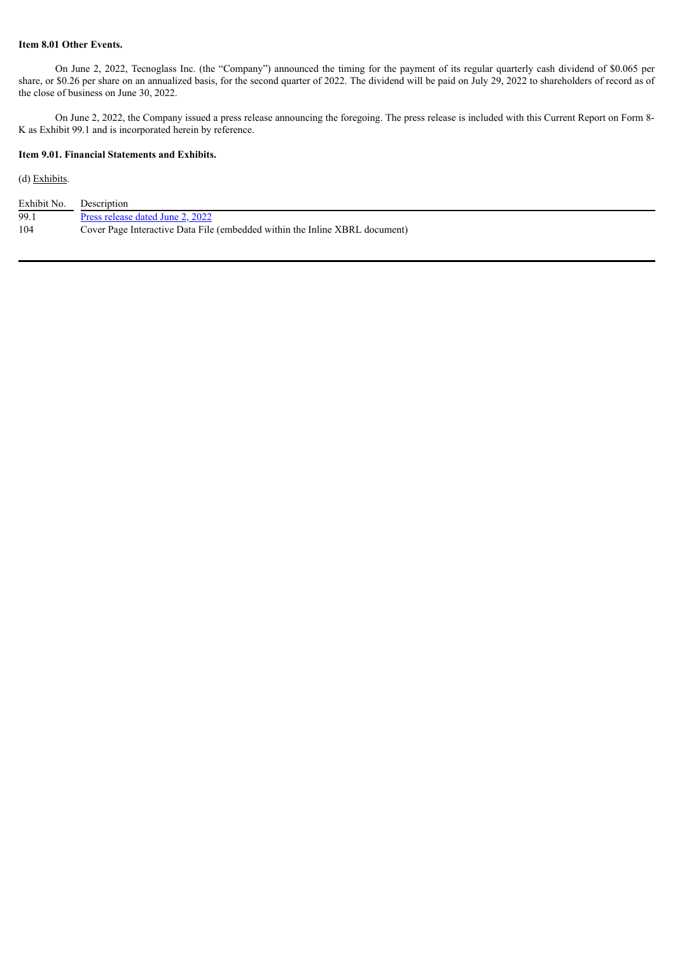## **Item 8.01 Other Events.**

On June 2, 2022, Tecnoglass Inc. (the "Company") announced the timing for the payment of its regular quarterly cash dividend of \$0.065 per share, or \$0.26 per share on an annualized basis, for the second quarter of 2022. The dividend will be paid on July 29, 2022 to shareholders of record as of the close of business on June 30, 2022.

On June 2, 2022, the Company issued a press release announcing the foregoing. The press release is included with this Current Report on Form 8- K as Exhibit 99.1 and is incorporated herein by reference.

## **Item 9.01. Financial Statements and Exhibits.**

## (d) Exhibits.

| Exhibit No. | Description                                                                 |
|-------------|-----------------------------------------------------------------------------|
| 99.1        | Press release dated June 2, 2022                                            |
| 104         | Cover Page Interactive Data File (embedded within the Inline XBRL document) |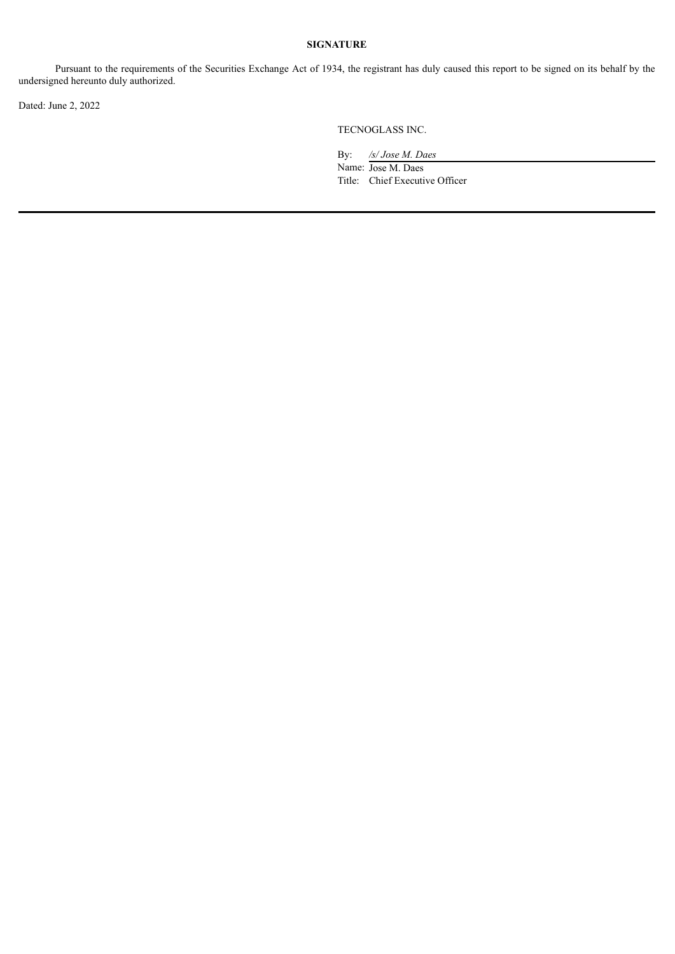## **SIGNATURE**

Pursuant to the requirements of the Securities Exchange Act of 1934, the registrant has duly caused this report to be signed on its behalf by the undersigned hereunto duly authorized.

Dated: June 2, 2022

TECNOGLASS INC.

By: */s/ Jose M. Daes* Name: Jose M. Daes Title: Chief Executive Officer